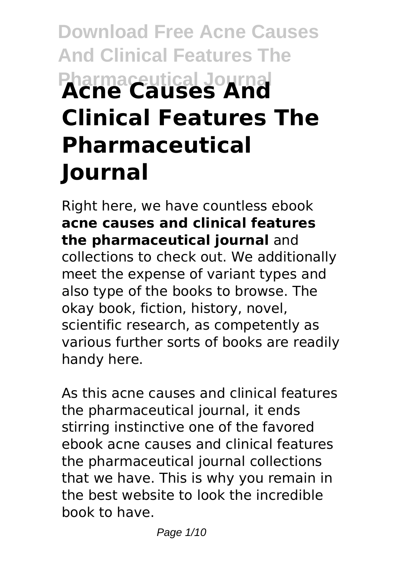# **Download Free Acne Causes And Clinical Features The Pharmaceutical Journal Acne Causes And Clinical Features The Pharmaceutical Journal**

Right here, we have countless ebook **acne causes and clinical features the pharmaceutical journal** and collections to check out. We additionally meet the expense of variant types and also type of the books to browse. The okay book, fiction, history, novel, scientific research, as competently as various further sorts of books are readily handy here.

As this acne causes and clinical features the pharmaceutical journal, it ends stirring instinctive one of the favored ebook acne causes and clinical features the pharmaceutical journal collections that we have. This is why you remain in the best website to look the incredible book to have.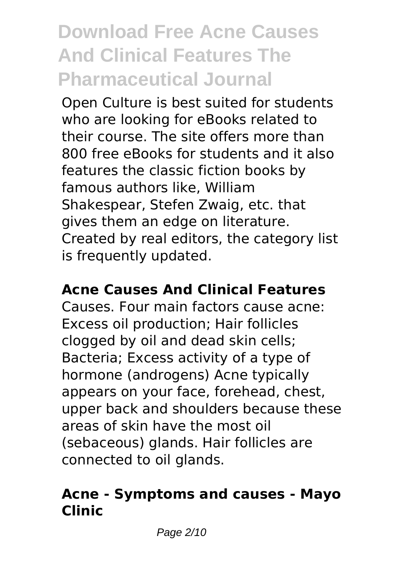# **Download Free Acne Causes And Clinical Features The Pharmaceutical Journal**

Open Culture is best suited for students who are looking for eBooks related to their course. The site offers more than 800 free eBooks for students and it also features the classic fiction books by famous authors like, William Shakespear, Stefen Zwaig, etc. that gives them an edge on literature. Created by real editors, the category list is frequently updated.

### **Acne Causes And Clinical Features**

Causes. Four main factors cause acne: Excess oil production; Hair follicles clogged by oil and dead skin cells; Bacteria; Excess activity of a type of hormone (androgens) Acne typically appears on your face, forehead, chest, upper back and shoulders because these areas of skin have the most oil (sebaceous) glands. Hair follicles are connected to oil glands.

#### **Acne - Symptoms and causes - Mayo Clinic**

Page 2/10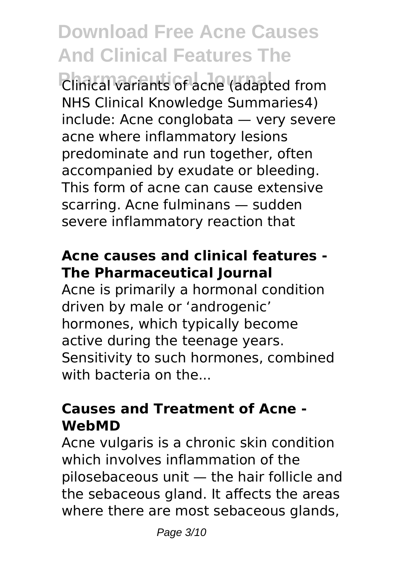# **Download Free Acne Causes And Clinical Features The**

**Pharmaceutical Journal** Clinical variants of acne (adapted from NHS Clinical Knowledge Summaries4) include: Acne conglobata — very severe acne where inflammatory lesions predominate and run together, often accompanied by exudate or bleeding. This form of acne can cause extensive scarring. Acne fulminans — sudden severe inflammatory reaction that

### **Acne causes and clinical features - The Pharmaceutical Journal**

Acne is primarily a hormonal condition driven by male or 'androgenic' hormones, which typically become active during the teenage years. Sensitivity to such hormones, combined with bacteria on the...

#### **Causes and Treatment of Acne - WebMD**

Acne vulgaris is a chronic skin condition which involves inflammation of the pilosebaceous unit — the hair follicle and the sebaceous gland. It affects the areas where there are most sebaceous glands,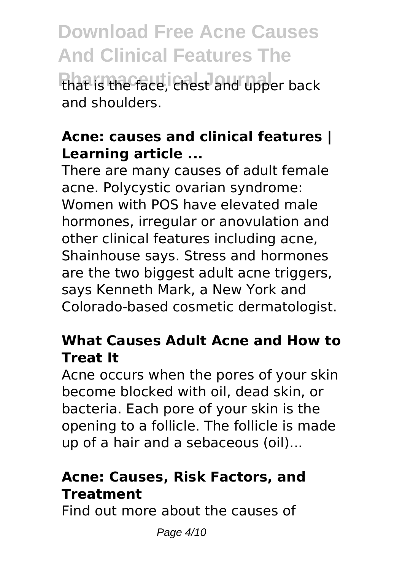**Download Free Acne Causes And Clinical Features The** that is the face, chest and upper back and shoulders.

#### **Acne: causes and clinical features | Learning article ...**

There are many causes of adult female acne. Polycystic ovarian syndrome: Women with POS have elevated male hormones, irregular or anovulation and other clinical features including acne, Shainhouse says. Stress and hormones are the two biggest adult acne triggers, says Kenneth Mark, a New York and Colorado-based cosmetic dermatologist.

#### **What Causes Adult Acne and How to Treat It**

Acne occurs when the pores of your skin become blocked with oil, dead skin, or bacteria. Each pore of your skin is the opening to a follicle. The follicle is made up of a hair and a sebaceous (oil)...

### **Acne: Causes, Risk Factors, and Treatment**

Find out more about the causes of

Page 4/10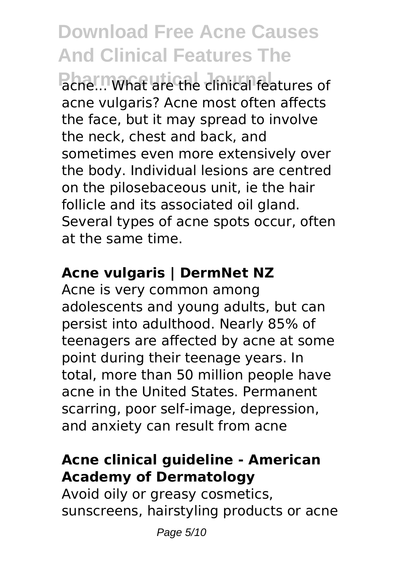**Download Free Acne Causes And Clinical Features The**

**Pharmwhat are the clinical features of** acne vulgaris? Acne most often affects the face, but it may spread to involve the neck, chest and back, and sometimes even more extensively over the body. Individual lesions are centred on the pilosebaceous unit, ie the hair follicle and its associated oil gland. Several types of acne spots occur, often at the same time.

# **Acne vulgaris | DermNet NZ**

Acne is very common among adolescents and young adults, but can persist into adulthood. Nearly 85% of teenagers are affected by acne at some point during their teenage years. In total, more than 50 million people have acne in the United States. Permanent scarring, poor self-image, depression, and anxiety can result from acne

#### **Acne clinical guideline - American Academy of Dermatology**

Avoid oily or greasy cosmetics, sunscreens, hairstyling products or acne

Page 5/10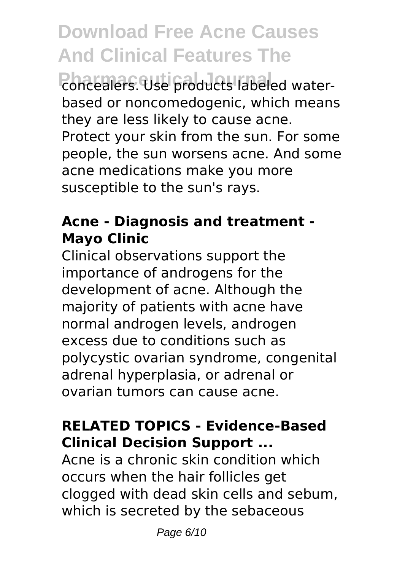**Download Free Acne Causes And Clinical Features The**

**Pharmaceutical Discrete State and Topics** based or noncomedogenic, which means they are less likely to cause acne. Protect your skin from the sun. For some people, the sun worsens acne. And some acne medications make you more susceptible to the sun's rays.

## **Acne - Diagnosis and treatment - Mayo Clinic**

Clinical observations support the importance of androgens for the development of acne. Although the majority of patients with acne have normal androgen levels, androgen excess due to conditions such as polycystic ovarian syndrome, congenital adrenal hyperplasia, or adrenal or ovarian tumors can cause acne.

# **RELATED TOPICS - Evidence-Based Clinical Decision Support ...**

Acne is a chronic skin condition which occurs when the hair follicles get clogged with dead skin cells and sebum, which is secreted by the sebaceous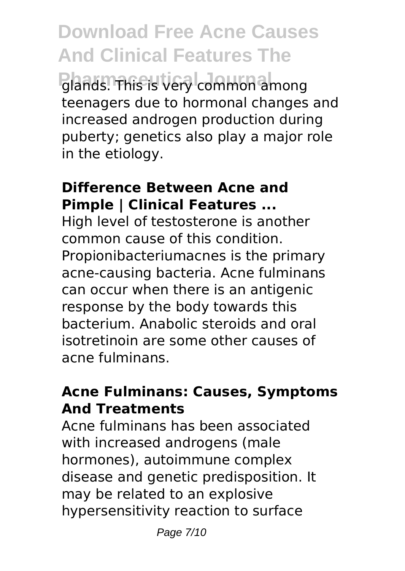**Download Free Acne Causes And Clinical Features The Pharmaceutical Journal** glands. This is very common among teenagers due to hormonal changes and increased androgen production during puberty; genetics also play a major role in the etiology.

#### **Difference Between Acne and Pimple | Clinical Features ...**

High level of testosterone is another common cause of this condition. Propionibacteriumacnes is the primary acne-causing bacteria. Acne fulminans can occur when there is an antigenic response by the body towards this bacterium. Anabolic steroids and oral isotretinoin are some other causes of acne fulminans.

### **Acne Fulminans: Causes, Symptoms And Treatments**

Acne fulminans has been associated with increased androgens (male hormones), autoimmune complex disease and genetic predisposition. It may be related to an explosive hypersensitivity reaction to surface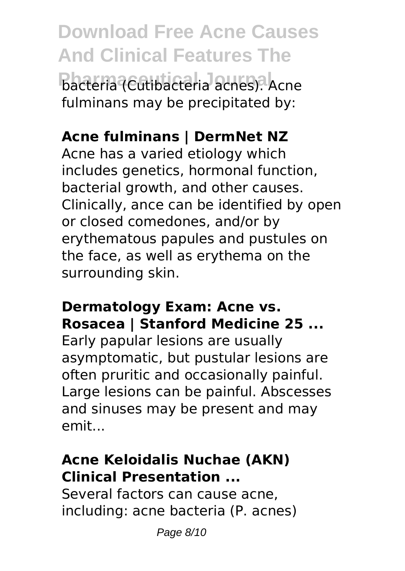**Download Free Acne Causes And Clinical Features The Pacteria (Cutibacteria acnes).** Acne fulminans may be precipitated by:

# **Acne fulminans | DermNet NZ**

Acne has a varied etiology which includes genetics, hormonal function, bacterial growth, and other causes. Clinically, ance can be identified by open or closed comedones, and/or by erythematous papules and pustules on the face, as well as erythema on the surrounding skin.

### **Dermatology Exam: Acne vs. Rosacea | Stanford Medicine 25 ...**

Early papular lesions are usually asymptomatic, but pustular lesions are often pruritic and occasionally painful. Large lesions can be painful. Abscesses and sinuses may be present and may emit...

# **Acne Keloidalis Nuchae (AKN) Clinical Presentation ...**

Several factors can cause acne, including: acne bacteria (P. acnes)

Page 8/10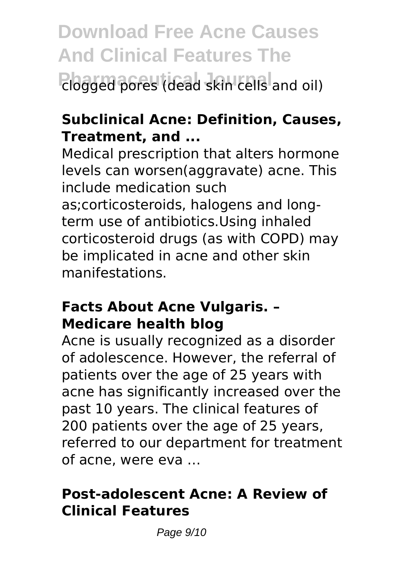**Download Free Acne Causes And Clinical Features The** Phagged pores (dead skin cells and oil)

# **Subclinical Acne: Definition, Causes, Treatment, and ...**

Medical prescription that alters hormone levels can worsen(aggravate) acne. This include medication such as;corticosteroids, halogens and longterm use of antibiotics.Using inhaled corticosteroid drugs (as with COPD) may be implicated in acne and other skin manifestations.

#### **Facts About Acne Vulgaris. – Medicare health blog**

Acne is usually recognized as a disorder of adolescence. However, the referral of patients over the age of 25 years with acne has significantly increased over the past 10 years. The clinical features of 200 patients over the age of 25 years, referred to our department for treatment of acne, were eva …

### **Post-adolescent Acne: A Review of Clinical Features**

Page 9/10